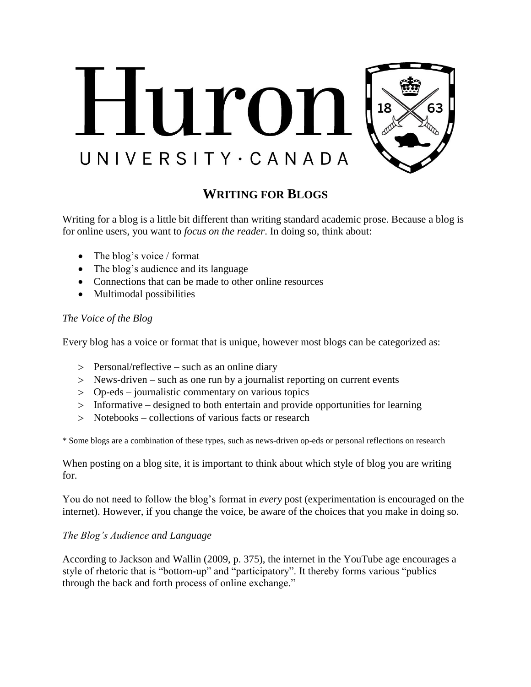

# **WRITING FOR BLOGS**

Writing for a blog is a little bit different than writing standard academic prose. Because a blog is for online users, you want to *focus on the reader*. In doing so, think about:

- The blog's voice / format
- The blog's audience and its language
- Connections that can be made to other online resources
- Multimodal possibilities

### *The Voice of the Blog*

Every blog has a voice or format that is unique, however most blogs can be categorized as:

- Personal/reflective such as an online diary
- News-driven such as one run by a journalist reporting on current events
- Op-eds journalistic commentary on various topics
- Informative designed to both entertain and provide opportunities for learning
- Notebooks collections of various facts or research

\* Some blogs are a combination of these types, such as news-driven op-eds or personal reflections on research

When posting on a blog site, it is important to think about which style of blog you are writing for.

You do not need to follow the blog's format in *every* post (experimentation is encouraged on the internet). However, if you change the voice, be aware of the choices that you make in doing so.

### *The Blog's Audience and Language*

According to Jackson and Wallin (2009, p. 375), the internet in the YouTube age encourages a style of rhetoric that is "bottom-up" and "participatory". It thereby forms various "publics through the back and forth process of online exchange."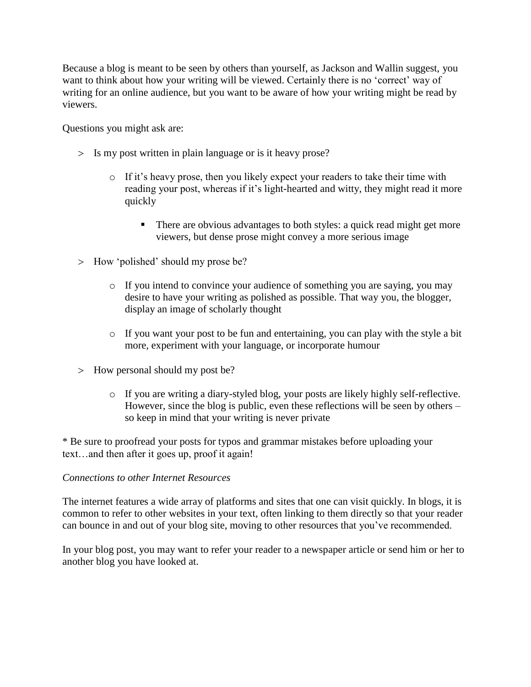Because a blog is meant to be seen by others than yourself, as Jackson and Wallin suggest, you want to think about how your writing will be viewed. Certainly there is no 'correct' way of writing for an online audience, but you want to be aware of how your writing might be read by viewers.

Questions you might ask are:

- Is my post written in plain language or is it heavy prose?
	- o If it's heavy prose, then you likely expect your readers to take their time with reading your post, whereas if it's light-hearted and witty, they might read it more quickly
		- There are obvious advantages to both styles: a quick read might get more viewers, but dense prose might convey a more serious image
- > How 'polished' should my prose be?
	- o If you intend to convince your audience of something you are saying, you may desire to have your writing as polished as possible. That way you, the blogger, display an image of scholarly thought
	- o If you want your post to be fun and entertaining, you can play with the style a bit more, experiment with your language, or incorporate humour
- > How personal should my post be?
	- o If you are writing a diary-styled blog, your posts are likely highly self-reflective. However, since the blog is public, even these reflections will be seen by others – so keep in mind that your writing is never private

\* Be sure to proofread your posts for typos and grammar mistakes before uploading your text…and then after it goes up, proof it again!

### *Connections to other Internet Resources*

The internet features a wide array of platforms and sites that one can visit quickly. In blogs, it is common to refer to other websites in your text, often linking to them directly so that your reader can bounce in and out of your blog site, moving to other resources that you've recommended.

In your blog post, you may want to refer your reader to a newspaper article or send him or her to another blog you have looked at.